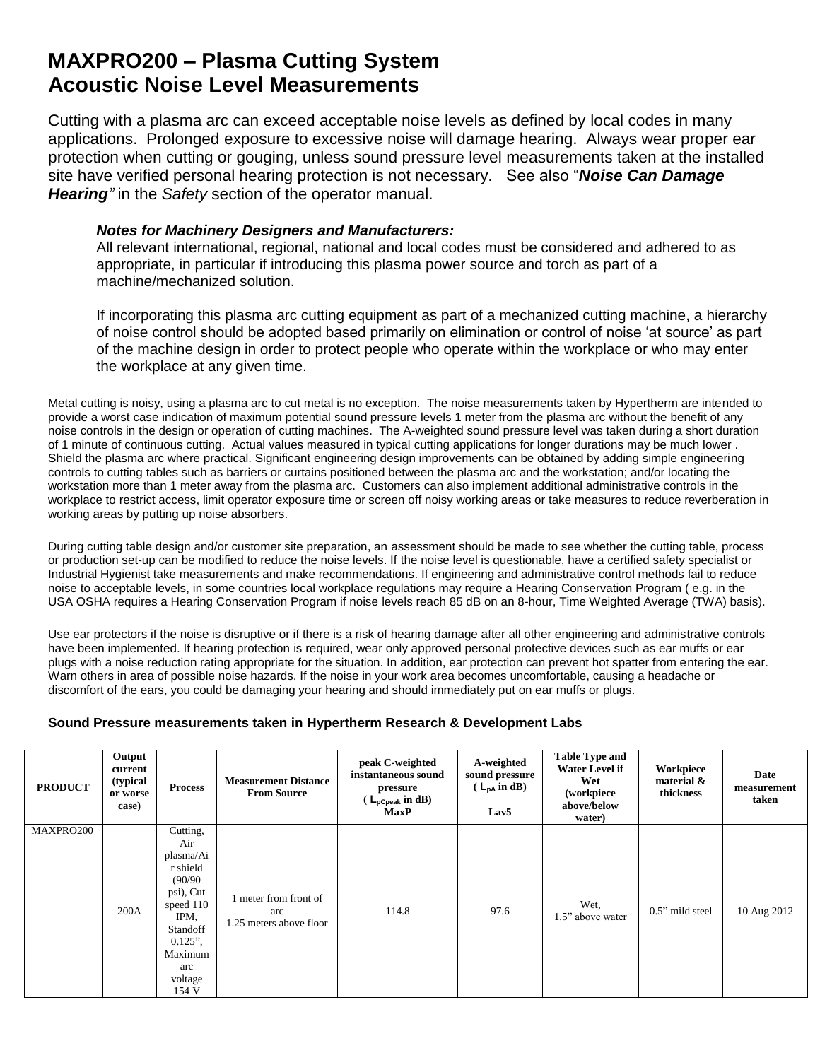## **MAXPRO200 – Plasma Cutting System Acoustic Noise Level Measurements**

Cutting with a plasma arc can exceed acceptable noise levels as defined by local codes in many applications. Prolonged exposure to excessive noise will damage hearing. Always wear proper ear protection when cutting or gouging, unless sound pressure level measurements taken at the installed site have verified personal hearing protection is not necessary. See also "*Noise Can Damage Hearing"* in the *Safety* section of the operator manual.

## *Notes for Machinery Designers and Manufacturers:*

All relevant international, regional, national and local codes must be considered and adhered to as appropriate, in particular if introducing this plasma power source and torch as part of a machine/mechanized solution.

If incorporating this plasma arc cutting equipment as part of a mechanized cutting machine, a hierarchy of noise control should be adopted based primarily on elimination or control of noise 'at source' as part of the machine design in order to protect people who operate within the workplace or who may enter the workplace at any given time.

Metal cutting is noisy, using a plasma arc to cut metal is no exception. The noise measurements taken by Hypertherm are intended to provide a worst case indication of maximum potential sound pressure levels 1 meter from the plasma arc without the benefit of any noise controls in the design or operation of cutting machines. The A-weighted sound pressure level was taken during a short duration of 1 minute of continuous cutting. Actual values measured in typical cutting applications for longer durations may be much lower . Shield the plasma arc where practical. Significant engineering design improvements can be obtained by adding simple engineering controls to cutting tables such as barriers or curtains positioned between the plasma arc and the workstation; and/or locating the workstation more than 1 meter away from the plasma arc. Customers can also implement additional administrative controls in the workplace to restrict access, limit operator exposure time or screen off noisy working areas or take measures to reduce reverberation in working areas by putting up noise absorbers.

During cutting table design and/or customer site preparation, an assessment should be made to see whether the cutting table, process or production set-up can be modified to reduce the noise levels. If the noise level is questionable, have a certified safety specialist or Industrial Hygienist take measurements and make recommendations. If engineering and administrative control methods fail to reduce noise to acceptable levels, in some countries local workplace regulations may require a Hearing Conservation Program ( e.g. in the USA OSHA requires a Hearing Conservation Program if noise levels reach 85 dB on an 8-hour, Time Weighted Average (TWA) basis).

Use ear protectors if the noise is disruptive or if there is a risk of hearing damage after all other engineering and administrative controls have been implemented. If hearing protection is required, wear only approved personal protective devices such as ear muffs or ear plugs with a noise reduction rating appropriate for the situation. In addition, ear protection can prevent hot spatter from entering the ear. Warn others in area of possible noise hazards. If the noise in your work area becomes uncomfortable, causing a headache or discomfort of the ears, you could be damaging your hearing and should immediately put on ear muffs or plugs.

## **Sound Pressure measurements taken in Hypertherm Research & Development Labs**

| <b>PRODUCT</b> | Output<br>current<br>(typical<br>or worse<br>case) | <b>Process</b>                                                                                                                                        | <b>Measurement Distance</b><br><b>From Source</b>     | peak C-weighted<br>instantaneous sound<br>pressure<br>$(L_{\text{pCpeak}} \text{ in dB})$<br><b>MaxP</b> | A-weighted<br>sound pressure<br>$(L_{pA} \text{ in } dB)$<br>Lav <sub>5</sub> | <b>Table Type and</b><br><b>Water Level if</b><br>Wet<br>(workpiece<br>above/below<br>water) | Workpiece<br>material $\&$<br>thickness | Date<br>measurement<br>taken |
|----------------|----------------------------------------------------|-------------------------------------------------------------------------------------------------------------------------------------------------------|-------------------------------------------------------|----------------------------------------------------------------------------------------------------------|-------------------------------------------------------------------------------|----------------------------------------------------------------------------------------------|-----------------------------------------|------------------------------|
| MAXPRO200      | 200A                                               | Cutting,<br>Air<br>plasma/Ai<br>r shield<br>(90/90)<br>psi), Cut<br>speed 110<br>IPM,<br>Standoff<br>$0.125$ ",<br>Maximum<br>arc<br>voltage<br>154 V | meter from front of<br>arc<br>1.25 meters above floor | 114.8                                                                                                    | 97.6                                                                          | Wet,<br>1.5" above water                                                                     | $0.5$ " mild steel                      | 10 Aug 2012                  |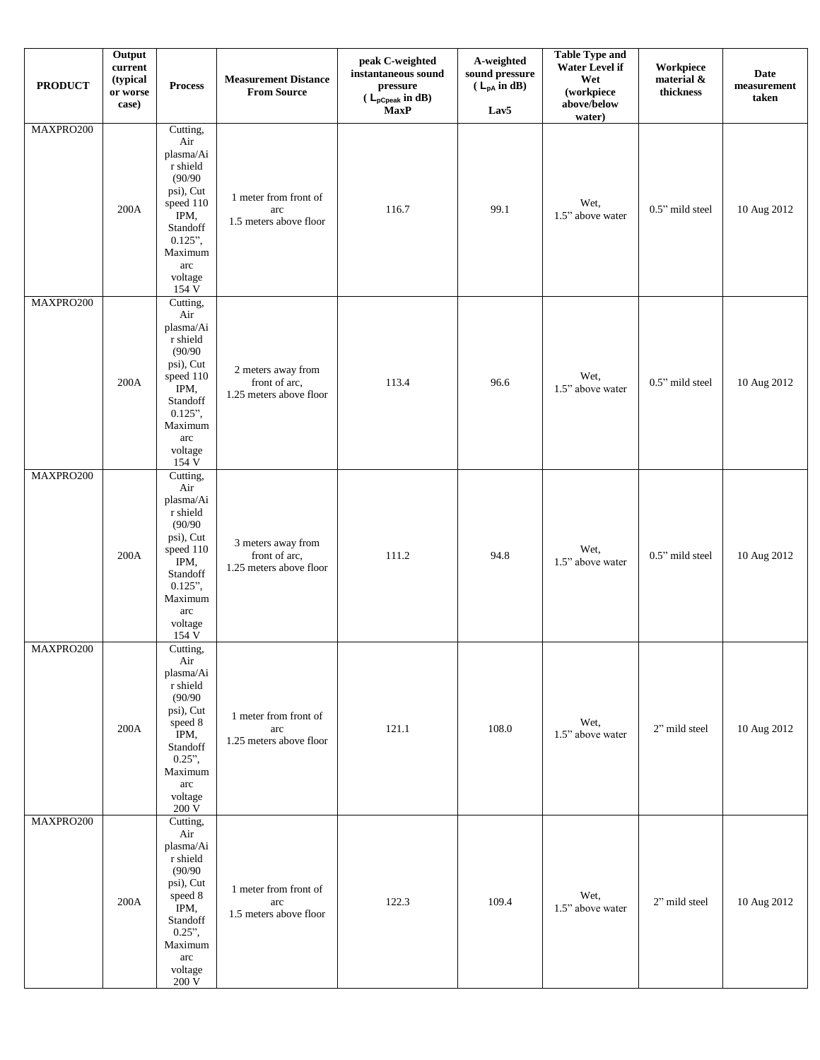| <b>PRODUCT</b> | Output<br>current<br>(typical<br>or worse<br>case) | <b>Process</b>                                                                                                                                                      | <b>Measurement Distance</b><br><b>From Source</b>              | peak C-weighted<br>instantaneous sound<br>pressure<br>( $\mathsf{L}_{\mathsf{pCpeak}}$ in dB)<br><b>MaxP</b> | A-weighted<br>sound pressure<br>$(L_{pA}$ in dB)<br>Lav5 | <b>Table Type and</b><br>Water Level if<br>Wet<br>(workpiece<br>above/below<br>water) | Workpiece<br>material &<br>thickness | <b>Date</b><br>measurement<br>taken |
|----------------|----------------------------------------------------|---------------------------------------------------------------------------------------------------------------------------------------------------------------------|----------------------------------------------------------------|--------------------------------------------------------------------------------------------------------------|----------------------------------------------------------|---------------------------------------------------------------------------------------|--------------------------------------|-------------------------------------|
| MAXPRO200      | $200\mathrm{A}$                                    | Cutting,<br>Air<br>plasma/Ai<br>r shield<br>(90/90)<br>psi), Cut<br>speed 110<br>IPM,<br>Standoff<br>$0.125$ ",<br>Maximum<br>arc<br>voltage<br>154 V               | 1 meter from front of<br>arc<br>1.5 meters above floor         | 116.7                                                                                                        | 99.1                                                     | Wet,<br>1.5" above water                                                              | 0.5" mild steel                      | 10 Aug 2012                         |
| MAXPRO200      | 200A                                               | Cutting,<br>Air<br>plasma/Ai<br>r shield<br>(90/90)<br>psi), Cut<br>$speed\ 110$<br>IPM,<br>Standoff<br>$0.125$ ",<br>Maximum<br>arc<br>voltage<br>154 V            | 2 meters away from<br>front of arc,<br>1.25 meters above floor | 113.4                                                                                                        | 96.6                                                     | Wet,<br>1.5" above water                                                              | 0.5" mild steel                      | 10 Aug 2012                         |
| MAXPRO200      | $200\mathrm{A}$                                    | Cutting,<br>Air<br>plasma/Ai<br>$\bf r$ shield<br>(90/90)<br>psi), Cut<br>speed 110<br>IPM,<br>Standoff<br>$0.125$ ",<br>Maximum<br>arc<br>voltage<br>154 V         | 3 meters away from<br>front of arc,<br>1.25 meters above floor | 111.2                                                                                                        | 94.8                                                     | Wet,<br>1.5" above water                                                              | 0.5" mild steel                      | 10 Aug 2012                         |
| MAXPRO200      | 200A                                               | Cutting,<br>Air<br>plasma/Ai<br>$\bf r$ shield<br>(90/90)<br>psi), Cut<br>speed 8<br>IPM,<br>Standoff<br>$0.25$ ",<br>Maximum<br>arc<br>voltage<br>$200~\mathrm{V}$ | 1 meter from front of<br>arc<br>1.25 meters above floor        | 121.1                                                                                                        | 108.0                                                    | Wet,<br>1.5" above water                                                              | 2" mild steel                        | 10 Aug 2012                         |
| MAXPRO200      | $200\mathrm{A}$                                    | Cutting,<br>Air<br>plasma/Ai<br>r shield<br>(90/90)<br>psi), Cut<br>speed 8<br>IPM,<br>Standoff<br>$0.25$ ",<br>Maximum<br>arc<br>voltage<br>$200\;\mathrm{V}$      | 1 meter from front of<br>arc<br>1.5 meters above floor         | 122.3                                                                                                        | 109.4                                                    | Wet,<br>1.5" above water                                                              | 2" mild steel                        | 10 Aug 2012                         |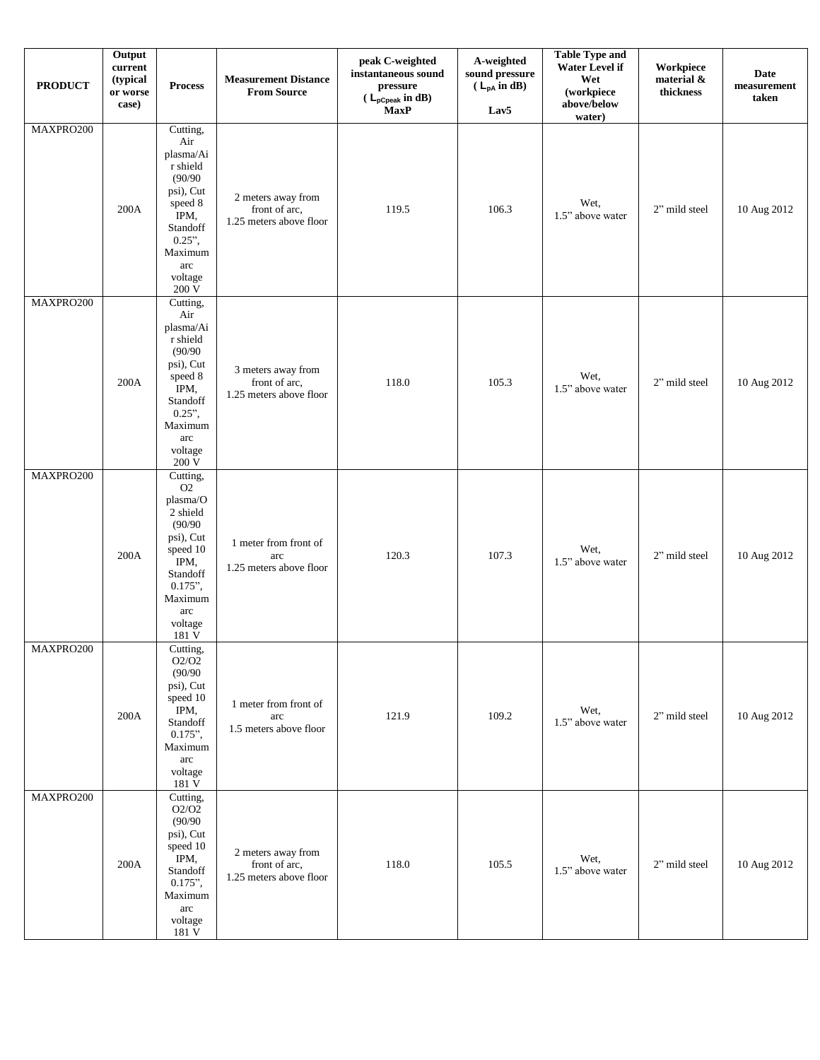| <b>PRODUCT</b> | Output<br>$\ensuremath{\mathbf{current}}\xspace$<br>(typical<br>or worse<br>case) | <b>Process</b>                                                                                                                                                | <b>Measurement Distance</b><br><b>From Source</b>              | peak C-weighted<br>instantaneous sound<br>pressure<br>$(L_{pCpeak} \text{ in dB})$<br><b>MaxP</b> | A-weighted<br>sound pressure<br>$(L_{pA} \text{ in } dB)$<br>Lav <sub>5</sub> | <b>Table Type and</b><br>Water Level if<br>Wet<br>(workpiece<br>above/below<br>water) | Workpiece<br>material &<br>thickness | Date<br>measurement<br>taken |
|----------------|-----------------------------------------------------------------------------------|---------------------------------------------------------------------------------------------------------------------------------------------------------------|----------------------------------------------------------------|---------------------------------------------------------------------------------------------------|-------------------------------------------------------------------------------|---------------------------------------------------------------------------------------|--------------------------------------|------------------------------|
| MAXPRO200      | 200A                                                                              | Cutting,<br>Air<br>plasma/Ai<br>r shield<br>(90/90)<br>psi), Cut<br>speed 8<br>IPM,<br>Standoff<br>$0.25$ ",<br>Maximum<br>arc<br>voltage<br>200 V            | 2 meters away from<br>front of arc,<br>1.25 meters above floor | 119.5                                                                                             | 106.3                                                                         | Wet,<br>1.5" above water                                                              | 2" mild steel                        | 10 Aug 2012                  |
| MAXPRO200      | 200A                                                                              | Cutting,<br>Air<br>plasma/Ai<br>r shield<br>(90/90)<br>psi), Cut<br>speed 8<br>IPM,<br>Standoff<br>$0.25$ ",<br>Maximum<br>arc<br>voltage<br>200 V            | 3 meters away from<br>front of arc,<br>1.25 meters above floor | 118.0                                                                                             | 105.3                                                                         | Wet,<br>1.5" above water                                                              | 2" mild steel                        | 10 Aug 2012                  |
| MAXPRO200      | 200A                                                                              | Cutting,<br>O2<br>plasma/O<br>2 shield<br>(90/90)<br>psi), Cut<br>speed 10<br>IPM,<br>Standoff<br>$0.175$ ",<br>Maximum<br>arc<br>voltage<br>181 V            | 1 meter from front of<br>arc<br>1.25 meters above floor        | 120.3                                                                                             | 107.3                                                                         | Wet,<br>1.5" above water                                                              | 2" mild steel                        | 10 Aug 2012                  |
| MAXPRO200      | $200\mathrm{A}$                                                                   | Cutting,<br>O2/O2<br>(90/90)<br>psi), Cut<br>speed 10<br>IPM,<br>Standoff<br>$0.175$ ",<br>Maximum<br>arc<br>voltage<br>181 V                                 | 1 meter from front of<br>arc<br>1.5 meters above floor         | 121.9                                                                                             | 109.2                                                                         | Wet,<br>1.5" above water                                                              | 2" mild steel                        | 10 Aug 2012                  |
| MAXPRO200      | $200\mathrm{A}$                                                                   | Cutting,<br>$\mathrm{O2}/\mathrm{O2}$<br>(90/90)<br>psi), Cut<br>speed 10<br>IPM,<br>Standoff<br>$0.175$ ",<br>Maximum<br>arc<br>voltage<br>$181\,\mathrm{V}$ | 2 meters away from<br>front of arc,<br>1.25 meters above floor | 118.0                                                                                             | 105.5                                                                         | Wet,<br>1.5" above water                                                              | 2" mild steel                        | 10 Aug 2012                  |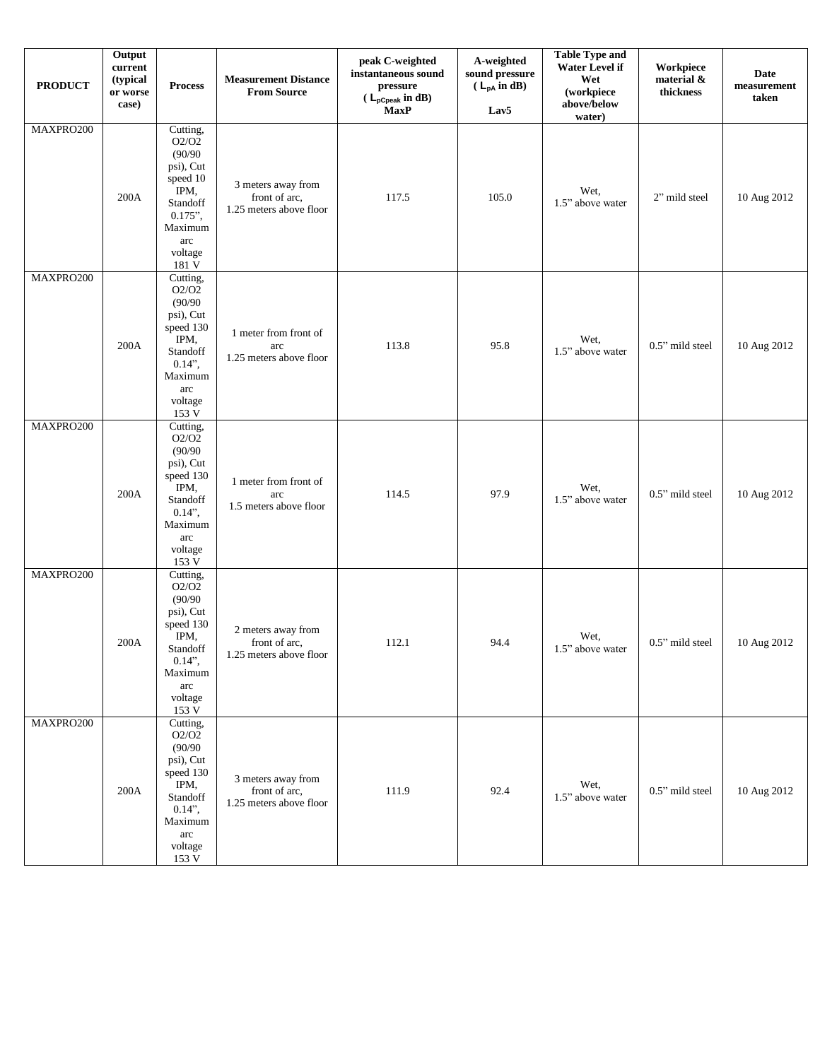| <b>PRODUCT</b> | Output<br>$\ensuremath{\mathbf{current}}\xspace$<br>(typical<br>or worse<br>case) | <b>Process</b>                                                                                                                                                    | <b>Measurement Distance</b><br><b>From Source</b>              | peak C-weighted<br>instantaneous sound<br>pressure<br>$(L_{pCpeak} \text{ in dB})$<br><b>MaxP</b> | A-weighted<br>sound pressure<br>$(L_{pA} \text{ in } dB)$<br>Lav <sub>5</sub> | <b>Table Type and</b><br><b>Water Level if</b><br>Wet<br>(workpiece<br>above/below<br>water) | Workpiece<br>material &<br>thickness | Date<br>measurement<br>taken |
|----------------|-----------------------------------------------------------------------------------|-------------------------------------------------------------------------------------------------------------------------------------------------------------------|----------------------------------------------------------------|---------------------------------------------------------------------------------------------------|-------------------------------------------------------------------------------|----------------------------------------------------------------------------------------------|--------------------------------------|------------------------------|
| MAXPRO200      | 200A                                                                              | Cutting,<br>O2/O2<br>(90/90)<br>psi), Cut<br>speed 10<br>IPM,<br>Standoff<br>$0.175$ ",<br>Maximum<br>arc<br>voltage<br>181 V                                     | 3 meters away from<br>front of arc,<br>1.25 meters above floor | 117.5                                                                                             | 105.0                                                                         | Wet,<br>1.5" above water                                                                     | 2" mild steel                        | 10 Aug 2012                  |
| MAXPRO200      | 200A                                                                              | Cutting,<br>O2/O2<br>(90/90)<br>psi), Cut<br>speed 130<br>IPM,<br>Standoff<br>$0.14$ ",<br>Maximum<br>arc<br>voltage<br>153 V                                     | 1 meter from front of<br>arc<br>1.25 meters above floor        | 113.8                                                                                             | 95.8                                                                          | Wet,<br>1.5" above water                                                                     | 0.5" mild steel                      | 10 Aug 2012                  |
| MAXPRO200      | 200A                                                                              | Cutting,<br>O2/O2<br>(90/90)<br>psi), Cut<br>speed 130<br>IPM,<br>Standoff<br>$0.14$ ",<br>Maximum<br>$\arcc$<br>voltage<br>153 V                                 | 1 meter from front of<br>arc<br>1.5 meters above floor         | 114.5                                                                                             | 97.9                                                                          | Wet,<br>1.5" above water                                                                     | 0.5" mild steel                      | 10 Aug 2012                  |
| MAXPRO200      | 200A                                                                              | Cutting,<br>O2/O2<br>(90/90)<br>psi), Cut<br>speed 130<br>IPM,<br>Standoff<br>$0.14$ ",<br>Maximum<br>$\operatorname{arc}$<br>voltage<br>$153\,\mathrm{V}$        | 2 meters away from<br>front of arc,<br>1.25 meters above floor | 112.1                                                                                             | 94.4                                                                          | Wet,<br>1.5" above water                                                                     | 0.5" mild steel                      | 10 Aug 2012                  |
| MAXPRO200      | $200\mathrm{A}$                                                                   | Cutting,<br>$\mathrm{O2}/\mathrm{O2}$<br>(90/90)<br>psi), Cut<br>speed 130<br>IPM,<br>Standoff<br>$0.14$ ",<br>Maximum<br>$\arcc$<br>voltage<br>$153\,\mathrm{V}$ | 3 meters away from<br>front of arc,<br>1.25 meters above floor | 111.9                                                                                             | 92.4                                                                          | Wet,<br>1.5" above water                                                                     | 0.5" mild steel                      | 10 Aug 2012                  |